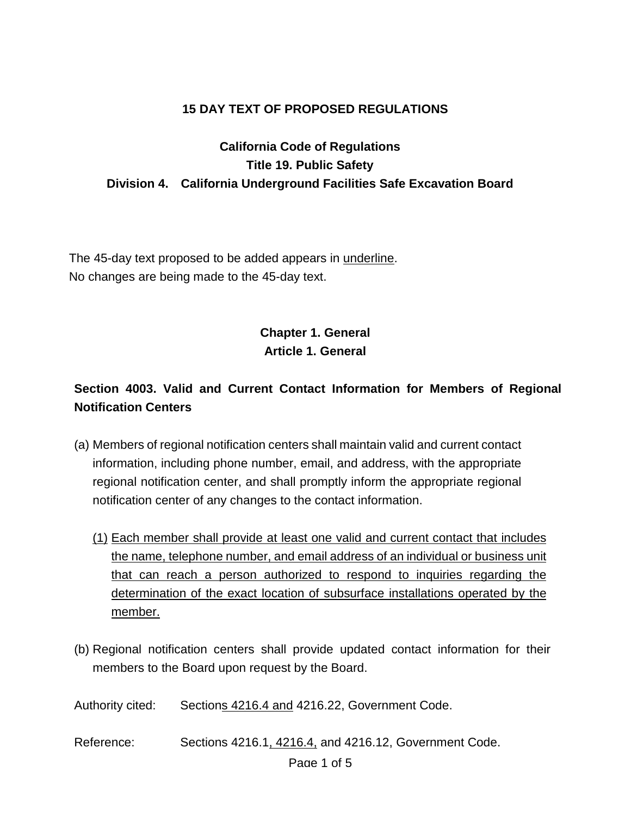#### **15 DAY TEXT OF PROPOSED REGULATIONS**

### **California Code of Regulations Title 19. Public Safety Division 4. California Underground Facilities Safe Excavation Board**

The 45-day text proposed to be added appears in underline. No changes are being made to the 45-day text.

## **Chapter 1. General Article 1. General**

## **Section 4003. Valid and Current Contact Information for Members of Regional Notification Centers**

- (a) Members of regional notification centers shall maintain valid and current contact information, including phone number, email, and address, with the appropriate regional notification center, and shall promptly inform the appropriate regional notification center of any changes to the contact information.
	- (1) Each member shall provide at least one valid and current contact that includes the name, telephone number, and email address of an individual or business unit that can reach a person authorized to respond to inquiries regarding the determination of the exact location of subsurface installations operated by the member.
- (b) Regional notification centers shall provide updated contact information for their members to the Board upon request by the Board.
- Authority cited: Sections 4216.4 and 4216.22, Government Code.
- Reference: Sections 4216.1, 4216.4, and 4216.12, Government Code.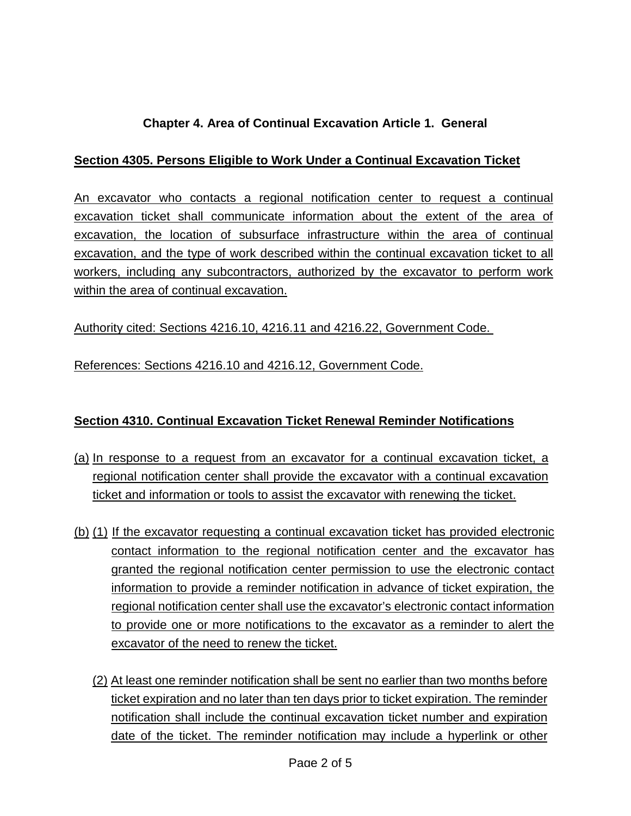### **Chapter 4. Area of Continual Excavation Article 1. General**

#### **Section 4305. Persons Eligible to Work Under a Continual Excavation Ticket**

An excavator who contacts a regional notification center to request a continual excavation ticket shall communicate information about the extent of the area of excavation, the location of subsurface infrastructure within the area of continual excavation, and the type of work described within the continual excavation ticket to all workers, including any subcontractors, authorized by the excavator to perform work within the area of continual excavation.

#### Authority cited: Sections 4216.10, 4216.11 and 4216.22, Government Code.

References: Sections 4216.10 and 4216.12, Government Code.

#### **Section 4310. Continual Excavation Ticket Renewal Reminder Notifications**

- (a) In response to a request from an excavator for a continual excavation ticket, a regional notification center shall provide the excavator with a continual excavation ticket and information or tools to assist the excavator with renewing the ticket.
- (b) (1) If the excavator requesting a continual excavation ticket has provided electronic contact information to the regional notification center and the excavator has granted the regional notification center permission to use the electronic contact information to provide a reminder notification in advance of ticket expiration, the regional notification center shall use the excavator's electronic contact information to provide one or more notifications to the excavator as a reminder to alert the excavator of the need to renew the ticket.
	- (2) At least one reminder notification shall be sent no earlier than two months before ticket expiration and no later than ten days prior to ticket expiration. The reminder notification shall include the continual excavation ticket number and expiration date of the ticket. The reminder notification may include a hyperlink or other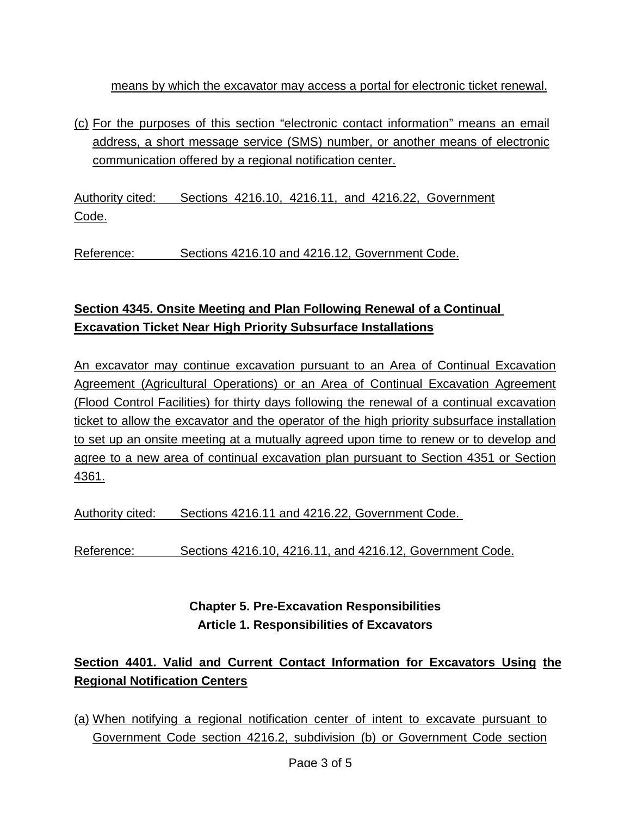means by which the excavator may access a portal for electronic ticket renewal.

(c) For the purposes of this section "electronic contact information" means an email address, a short message service (SMS) number, or another means of electronic communication offered by a regional notification center.

Authority cited: Sections 4216.10, 4216.11, and 4216.22, Government Code.

Reference: Sections 4216.10 and 4216.12, Government Code.

## **Section 4345. Onsite Meeting and Plan Following Renewal of a Continual Excavation Ticket Near High Priority Subsurface Installations**

An excavator may continue excavation pursuant to an Area of Continual Excavation Agreement (Agricultural Operations) or an Area of Continual Excavation Agreement (Flood Control Facilities) for thirty days following the renewal of a continual excavation ticket to allow the excavator and the operator of the high priority subsurface installation to set up an onsite meeting at a mutually agreed upon time to renew or to develop and agree to a new area of continual excavation plan pursuant to Section 4351 or Section 4361.

Authority cited: Sections 4216.11 and 4216.22, Government Code.

Reference: Sections 4216.10, 4216.11, and 4216.12, Government Code.

## **Chapter 5. Pre-Excavation Responsibilities Article 1. Responsibilities of Excavators**

# **Section 4401. Valid and Current Contact Information for Excavators Using the Regional Notification Centers**

(a) When notifying a regional notification center of intent to excavate pursuant to Government Code section 4216.2, subdivision (b) or Government Code section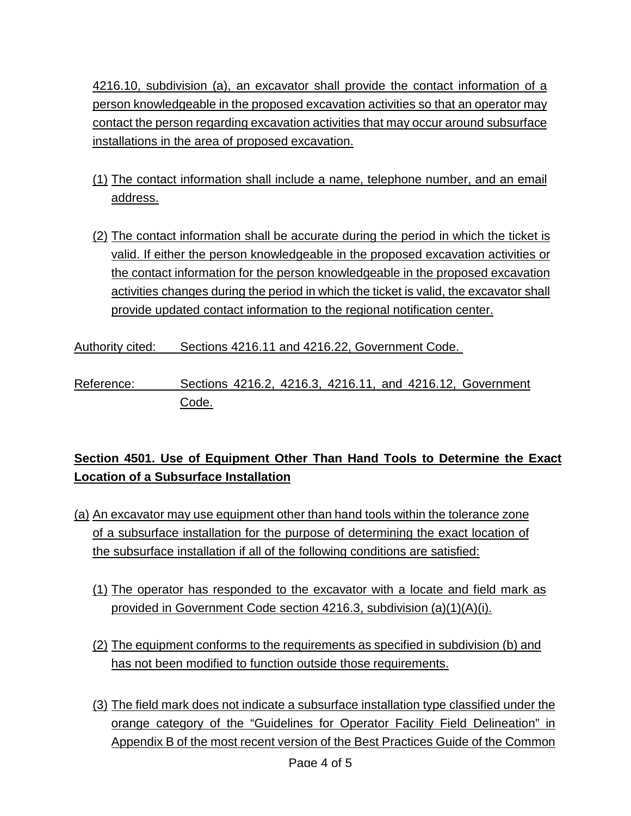4216.10, subdivision (a), an excavator shall provide the contact information of a person knowledgeable in the proposed excavation activities so that an operator may contact the person regarding excavation activities that may occur around subsurface installations in the area of proposed excavation.

- (1) The contact information shall include a name, telephone number, and an email address.
- (2) The contact information shall be accurate during the period in which the ticket is valid. If either the person knowledgeable in the proposed excavation activities or the contact information for the person knowledgeable in the proposed excavation activities changes during the period in which the ticket is valid, the excavator shall provide updated contact information to the regional notification center.

Authority cited: Sections 4216.11 and 4216.22, Government Code.

Reference: Sections 4216.2, 4216.3, 4216.11, and 4216.12, Government Code.

## **Section 4501. Use of Equipment Other Than Hand Tools to Determine the Exact Location of a Subsurface Installation**

- (a) An excavator may use equipment other than hand tools within the tolerance zone of a subsurface installation for the purpose of determining the exact location of the subsurface installation if all of the following conditions are satisfied:
	- (1) The operator has responded to the excavator with a locate and field mark as provided in Government Code section 4216.3, subdivision (a)(1)(A)(i).
	- (2) The equipment conforms to the requirements as specified in subdivision (b) and has not been modified to function outside those requirements.
	- (3) The field mark does not indicate a subsurface installation type classified under the orange category of the "Guidelines for Operator Facility Field Delineation" in Appendix B of the most recent version of the Best Practices Guide of the Common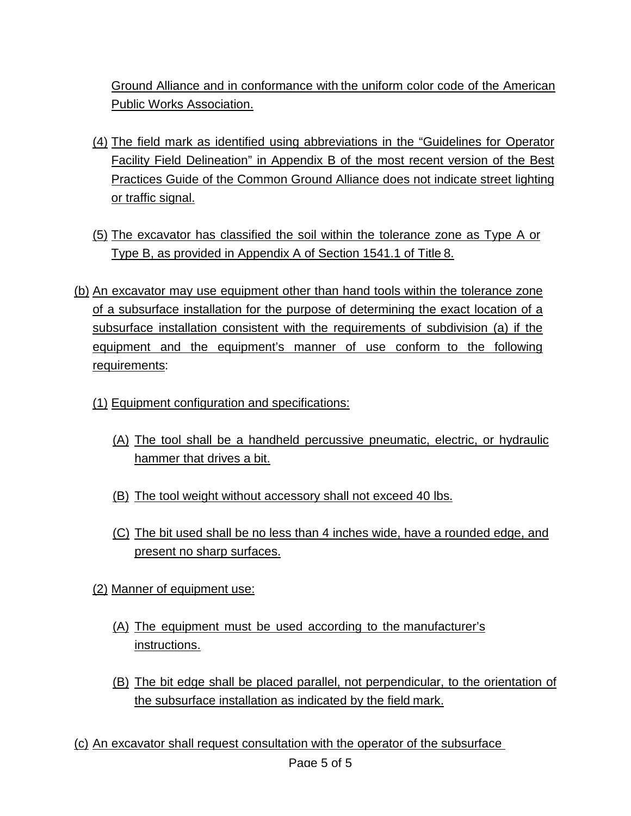Ground Alliance and in conformance with the uniform color code of the American Public Works Association.

- (4) The field mark as identified using abbreviations in the "Guidelines for Operator Facility Field Delineation" in Appendix B of the most recent version of the Best Practices Guide of the Common Ground Alliance does not indicate street lighting or traffic signal.
- (5) The excavator has classified the soil within the tolerance zone as Type A or Type B, as provided in Appendix A of Section 1541.1 of Title 8.
- (b) An excavator may use equipment other than hand tools within the tolerance zone of a subsurface installation for the purpose of determining the exact location of a subsurface installation consistent with the requirements of subdivision (a) if the equipment and the equipment's manner of use conform to the following requirements:
	- (1) Equipment configuration and specifications:
		- (A) The tool shall be a handheld percussive pneumatic, electric, or hydraulic hammer that drives a bit.
		- (B) The tool weight without accessory shall not exceed 40 lbs.
		- (C) The bit used shall be no less than 4 inches wide, have a rounded edge, and present no sharp surfaces.
	- (2) Manner of equipment use:
		- (A) The equipment must be used according to the manufacturer's instructions.
		- (B) The bit edge shall be placed parallel, not perpendicular, to the orientation of the subsurface installation as indicated by the field mark.

(c) An excavator shall request consultation with the operator of the subsurface